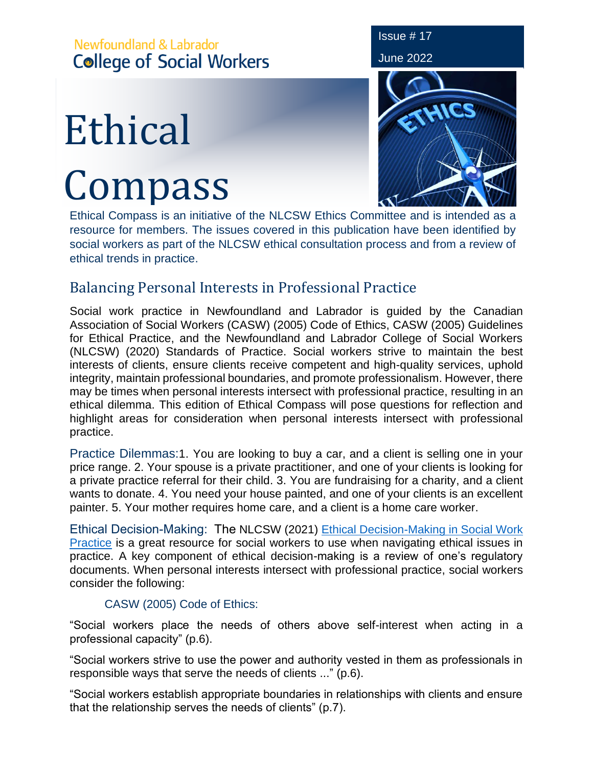## Newfoundland & Labrador **College of Social Workers**

# Ethical Compass



Issue # 17

Ethical Compass is an initiative of the NLCSW Ethics Committee and is intended as a resource for members. The issues covered in this publication have been identified by social workers as part of the NLCSW ethical consultation process and from a review of ethical trends in practice.

### Balancing Personal Interests in Professional Practice

Social work practice in Newfoundland and Labrador is guided by the Canadian Association of Social Workers (CASW) (2005) Code of Ethics, CASW (2005) Guidelines for Ethical Practice, and the Newfoundland and Labrador College of Social Workers (NLCSW) (2020) Standards of Practice. Social workers strive to maintain the best interests of clients, ensure clients receive competent and high-quality services, uphold integrity, maintain professional boundaries, and promote professionalism. However, there may be times when personal interests intersect with professional practice, resulting in an ethical dilemma. This edition of Ethical Compass will pose questions for reflection and highlight areas for consideration when personal interests intersect with professional practice.

Practice Dilemmas:1. You are looking to buy a car, and a client is selling one in your price range. 2. Your spouse is a private practitioner, and one of your clients is looking for a private practice referral for their child. 3. You are fundraising for a charity, and a client wants to donate. 4. You need your house painted, and one of your clients is an excellent painter. 5. Your mother requires home care, and a client is a home care worker.

Ethical Decision-Making: The NLCSW (2021) [Ethical Decision-Making in Social Work](https://nlcsw.ca/sites/default/files/inline-files/Ethical_Decision_Making_in_Social_Work_Practice_Updated_August_2021_0.pdf)  [Practice](https://nlcsw.ca/sites/default/files/inline-files/Ethical_Decision_Making_in_Social_Work_Practice_Updated_August_2021_0.pdf) is a great resource for social workers to use when navigating ethical issues in practice. A key component of ethical decision-making is a review of one's regulatory documents. When personal interests intersect with professional practice, social workers consider the following:

#### CASW (2005) Code of Ethics:

"Social workers place the needs of others above self-interest when acting in a professional capacity" (p.6).

"Social workers strive to use the power and authority vested in them as professionals in responsible ways that serve the needs of clients ..." (p.6).

"Social workers establish appropriate boundaries in relationships with clients and ensure that the relationship serves the needs of clients" (p.7).